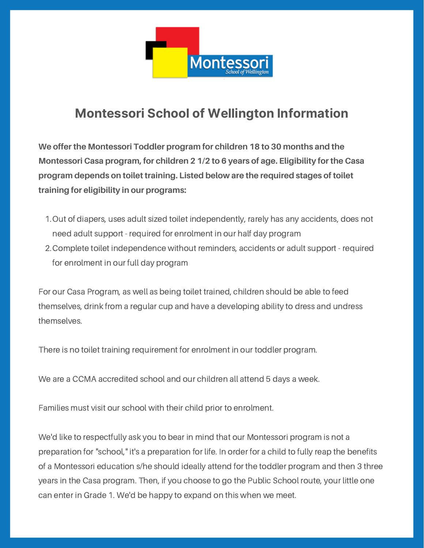

# **Montessori School of Wellington Information**

**We offer the Montessori Toddler program for children 18 to 30 months and the Montessori Casa program, for children 2 1/2 to 6 years of age. Eligibility for the Casa program depends on toilet training. Listed below are the required stages of toilet training for eligibility in our programs:**

- 1. Out of diapers, uses adult sized toilet independently, rarely has any accidents, does not need adult support - required for enrolment in our half day program
- 2. Complete toilet independence without reminders, accidents or adult support required for enrolment in our full day program

For our Casa Program, as well as being toilet trained, children should be able to feed themselves, drink from a regular cup and have a developing ability to dress and undress themselves.

There is no toilet training requirement for enrolment in our toddler program.

We are a CCMA accredited school and our children all attend 5 days a week.

Families must visit our school with their child prior to enrolment.

We'd like to respectfully ask you to bear in mind that our Montessori program is not a preparation for "school," it's a preparation for life. In order for a child to fully reap the benefits of a Montessori education s/he should ideally attend for the toddler program and then 3 three years in the Casa program. Then, if you choose to go the Public School route, your little one can enter in Grade 1. We'd be happy to expand on this when we meet.